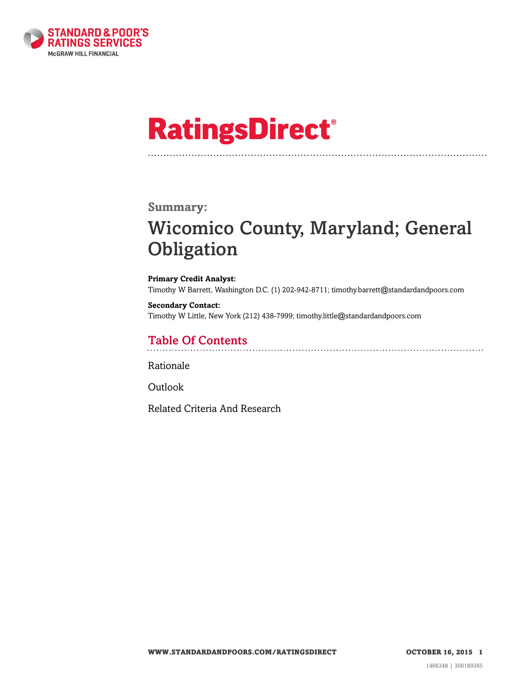

# **RatingsDirect®**

### **Summary:**

# Wicomico County, Maryland; General **Obligation**

#### **Primary Credit Analyst:** Timothy W Barrett, Washington D.C. (1) 202-942-8711; timothy.barrett@standardandpoors.com

**Secondary Contact:** Timothy W Little, New York (212) 438-7999; timothy.little@standardandpoors.com

# Table Of Contents

[Rationale](#page-1-0)

[Outlook](#page-5-0)

[Related Criteria And Research](#page-5-1)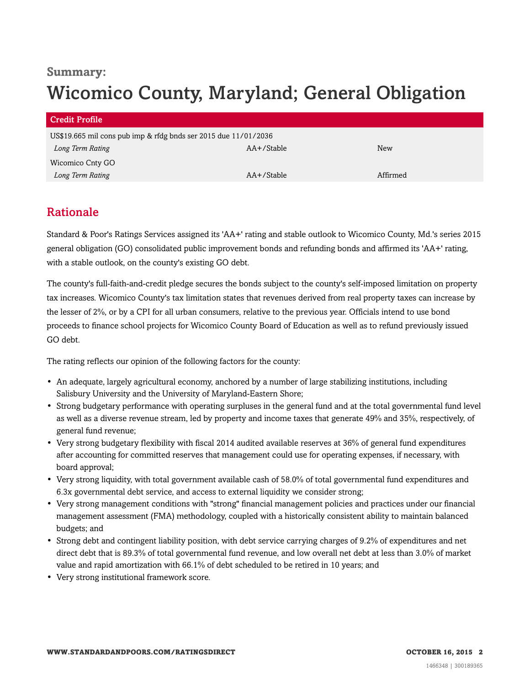# **Summary:** Wicomico County, Maryland; General Obligation

| <b>Credit Profile</b>                                           |               |          |  |
|-----------------------------------------------------------------|---------------|----------|--|
| US\$19.665 mil cons pub imp & rfdg bnds ser 2015 due 11/01/2036 |               |          |  |
| Long Term Rating                                                | AA+/Stable    | New      |  |
| Wicomico Cnty GO                                                |               |          |  |
| Long Term Rating                                                | $AA+$ /Stable | Affirmed |  |

### <span id="page-1-0"></span>Rationale

Standard & Poor's Ratings Services assigned its 'AA+' rating and stable outlook to Wicomico County, Md.'s series 2015 general obligation (GO) consolidated public improvement bonds and refunding bonds and affirmed its 'AA+' rating, with a stable outlook, on the county's existing GO debt.

The county's full-faith-and-credit pledge secures the bonds subject to the county's self-imposed limitation on property tax increases. Wicomico County's tax limitation states that revenues derived from real property taxes can increase by the lesser of 2%, or by a CPI for all urban consumers, relative to the previous year. Officials intend to use bond proceeds to finance school projects for Wicomico County Board of Education as well as to refund previously issued GO debt.

The rating reflects our opinion of the following factors for the county:

- An adequate, largely agricultural economy, anchored by a number of large stabilizing institutions, including Salisbury University and the University of Maryland-Eastern Shore;
- Strong budgetary performance with operating surpluses in the general fund and at the total governmental fund level as well as a diverse revenue stream, led by property and income taxes that generate 49% and 35%, respectively, of general fund revenue;
- Very strong budgetary flexibility with fiscal 2014 audited available reserves at 36% of general fund expenditures after accounting for committed reserves that management could use for operating expenses, if necessary, with board approval;
- Very strong liquidity, with total government available cash of 58.0% of total governmental fund expenditures and 6.3x governmental debt service, and access to external liquidity we consider strong;
- Very strong management conditions with "strong" financial management policies and practices under our financial management assessment (FMA) methodology, coupled with a historically consistent ability to maintain balanced budgets; and
- Strong debt and contingent liability position, with debt service carrying charges of 9.2% of expenditures and net direct debt that is 89.3% of total governmental fund revenue, and low overall net debt at less than 3.0% of market value and rapid amortization with 66.1% of debt scheduled to be retired in 10 years; and
- Very strong institutional framework score.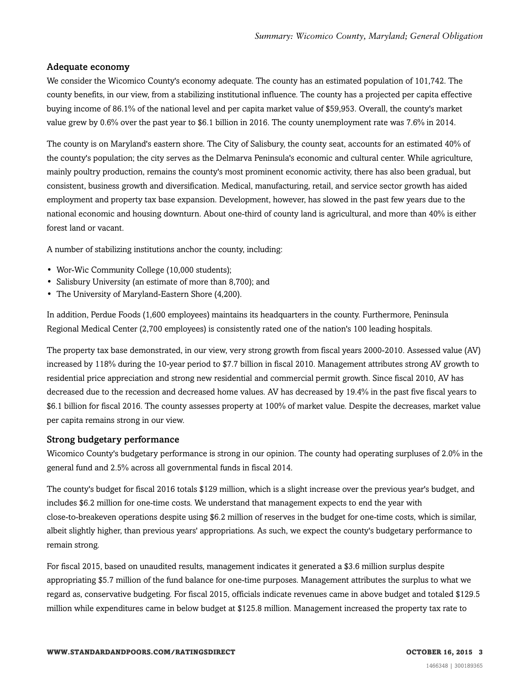#### Adequate economy

We consider the Wicomico County's economy adequate. The county has an estimated population of 101,742. The county benefits, in our view, from a stabilizing institutional influence. The county has a projected per capita effective buying income of 86.1% of the national level and per capita market value of \$59,953. Overall, the county's market value grew by 0.6% over the past year to \$6.1 billion in 2016. The county unemployment rate was 7.6% in 2014.

The county is on Maryland's eastern shore. The City of Salisbury, the county seat, accounts for an estimated 40% of the county's population; the city serves as the Delmarva Peninsula's economic and cultural center. While agriculture, mainly poultry production, remains the county's most prominent economic activity, there has also been gradual, but consistent, business growth and diversification. Medical, manufacturing, retail, and service sector growth has aided employment and property tax base expansion. Development, however, has slowed in the past few years due to the national economic and housing downturn. About one-third of county land is agricultural, and more than 40% is either forest land or vacant.

A number of stabilizing institutions anchor the county, including:

- Wor-Wic Community College (10,000 students);
- Salisbury University (an estimate of more than 8,700); and
- The University of Maryland-Eastern Shore (4,200).

In addition, Perdue Foods (1,600 employees) maintains its headquarters in the county. Furthermore, Peninsula Regional Medical Center (2,700 employees) is consistently rated one of the nation's 100 leading hospitals.

The property tax base demonstrated, in our view, very strong growth from fiscal years 2000-2010. Assessed value (AV) increased by 118% during the 10-year period to \$7.7 billion in fiscal 2010. Management attributes strong AV growth to residential price appreciation and strong new residential and commercial permit growth. Since fiscal 2010, AV has decreased due to the recession and decreased home values. AV has decreased by 19.4% in the past five fiscal years to \$6.1 billion for fiscal 2016. The county assesses property at 100% of market value. Despite the decreases, market value per capita remains strong in our view.

#### Strong budgetary performance

Wicomico County's budgetary performance is strong in our opinion. The county had operating surpluses of 2.0% in the general fund and 2.5% across all governmental funds in fiscal 2014.

The county's budget for fiscal 2016 totals \$129 million, which is a slight increase over the previous year's budget, and includes \$6.2 million for one-time costs. We understand that management expects to end the year with close-to-breakeven operations despite using \$6.2 million of reserves in the budget for one-time costs, which is similar, albeit slightly higher, than previous years' appropriations. As such, we expect the county's budgetary performance to remain strong.

For fiscal 2015, based on unaudited results, management indicates it generated a \$3.6 million surplus despite appropriating \$5.7 million of the fund balance for one-time purposes. Management attributes the surplus to what we regard as, conservative budgeting. For fiscal 2015, officials indicate revenues came in above budget and totaled \$129.5 million while expenditures came in below budget at \$125.8 million. Management increased the property tax rate to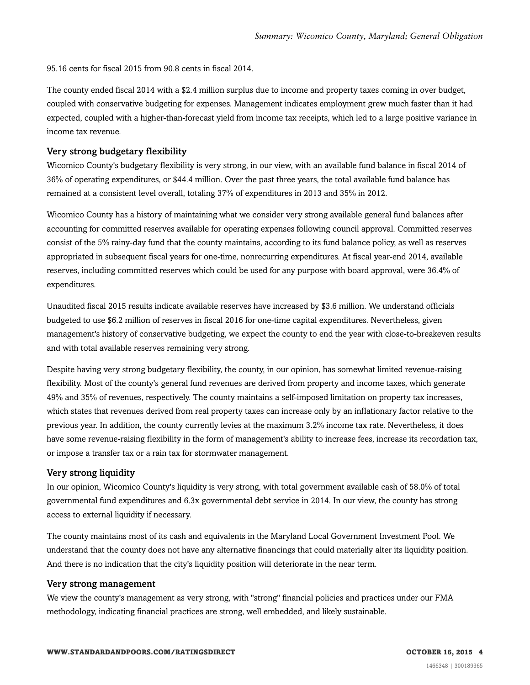95.16 cents for fiscal 2015 from 90.8 cents in fiscal 2014.

The county ended fiscal 2014 with a \$2.4 million surplus due to income and property taxes coming in over budget, coupled with conservative budgeting for expenses. Management indicates employment grew much faster than it had expected, coupled with a higher-than-forecast yield from income tax receipts, which led to a large positive variance in income tax revenue.

#### Very strong budgetary flexibility

Wicomico County's budgetary flexibility is very strong, in our view, with an available fund balance in fiscal 2014 of 36% of operating expenditures, or \$44.4 million. Over the past three years, the total available fund balance has remained at a consistent level overall, totaling 37% of expenditures in 2013 and 35% in 2012.

Wicomico County has a history of maintaining what we consider very strong available general fund balances after accounting for committed reserves available for operating expenses following council approval. Committed reserves consist of the 5% rainy-day fund that the county maintains, according to its fund balance policy, as well as reserves appropriated in subsequent fiscal years for one-time, nonrecurring expenditures. At fiscal year-end 2014, available reserves, including committed reserves which could be used for any purpose with board approval, were 36.4% of expenditures.

Unaudited fiscal 2015 results indicate available reserves have increased by \$3.6 million. We understand officials budgeted to use \$6.2 million of reserves in fiscal 2016 for one-time capital expenditures. Nevertheless, given management's history of conservative budgeting, we expect the county to end the year with close-to-breakeven results and with total available reserves remaining very strong.

Despite having very strong budgetary flexibility, the county, in our opinion, has somewhat limited revenue-raising flexibility. Most of the county's general fund revenues are derived from property and income taxes, which generate 49% and 35% of revenues, respectively. The county maintains a self-imposed limitation on property tax increases, which states that revenues derived from real property taxes can increase only by an inflationary factor relative to the previous year. In addition, the county currently levies at the maximum 3.2% income tax rate. Nevertheless, it does have some revenue-raising flexibility in the form of management's ability to increase fees, increase its recordation tax, or impose a transfer tax or a rain tax for stormwater management.

#### Very strong liquidity

In our opinion, Wicomico County's liquidity is very strong, with total government available cash of 58.0% of total governmental fund expenditures and 6.3x governmental debt service in 2014. In our view, the county has strong access to external liquidity if necessary.

The county maintains most of its cash and equivalents in the Maryland Local Government Investment Pool. We understand that the county does not have any alternative financings that could materially alter its liquidity position. And there is no indication that the city's liquidity position will deteriorate in the near term.

#### Very strong management

We view the county's management as very strong, with "strong" financial policies and practices under our FMA methodology, indicating financial practices are strong, well embedded, and likely sustainable.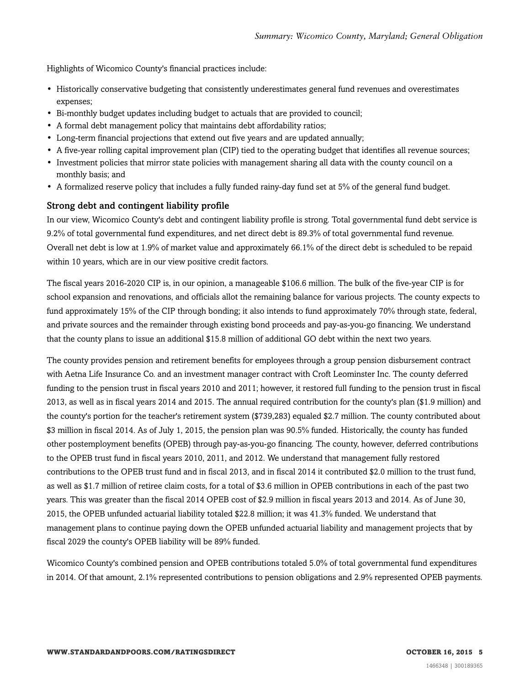Highlights of Wicomico County's financial practices include:

- Historically conservative budgeting that consistently underestimates general fund revenues and overestimates expenses;
- Bi-monthly budget updates including budget to actuals that are provided to council;
- A formal debt management policy that maintains debt affordability ratios;
- Long-term financial projections that extend out five years and are updated annually;
- A five-year rolling capital improvement plan (CIP) tied to the operating budget that identifies all revenue sources;
- Investment policies that mirror state policies with management sharing all data with the county council on a monthly basis; and
- A formalized reserve policy that includes a fully funded rainy-day fund set at 5% of the general fund budget.

#### Strong debt and contingent liability profile

In our view, Wicomico County's debt and contingent liability profile is strong. Total governmental fund debt service is 9.2% of total governmental fund expenditures, and net direct debt is 89.3% of total governmental fund revenue. Overall net debt is low at 1.9% of market value and approximately 66.1% of the direct debt is scheduled to be repaid within 10 years, which are in our view positive credit factors.

The fiscal years 2016-2020 CIP is, in our opinion, a manageable \$106.6 million. The bulk of the five-year CIP is for school expansion and renovations, and officials allot the remaining balance for various projects. The county expects to fund approximately 15% of the CIP through bonding; it also intends to fund approximately 70% through state, federal, and private sources and the remainder through existing bond proceeds and pay-as-you-go financing. We understand that the county plans to issue an additional \$15.8 million of additional GO debt within the next two years.

The county provides pension and retirement benefits for employees through a group pension disbursement contract with Aetna Life Insurance Co. and an investment manager contract with Croft Leominster Inc. The county deferred funding to the pension trust in fiscal years 2010 and 2011; however, it restored full funding to the pension trust in fiscal 2013, as well as in fiscal years 2014 and 2015. The annual required contribution for the county's plan (\$1.9 million) and the county's portion for the teacher's retirement system (\$739,283) equaled \$2.7 million. The county contributed about \$3 million in fiscal 2014. As of July 1, 2015, the pension plan was 90.5% funded. Historically, the county has funded other postemployment benefits (OPEB) through pay-as-you-go financing. The county, however, deferred contributions to the OPEB trust fund in fiscal years 2010, 2011, and 2012. We understand that management fully restored contributions to the OPEB trust fund and in fiscal 2013, and in fiscal 2014 it contributed \$2.0 million to the trust fund, as well as \$1.7 million of retiree claim costs, for a total of \$3.6 million in OPEB contributions in each of the past two years. This was greater than the fiscal 2014 OPEB cost of \$2.9 million in fiscal years 2013 and 2014. As of June 30, 2015, the OPEB unfunded actuarial liability totaled \$22.8 million; it was 41.3% funded. We understand that management plans to continue paying down the OPEB unfunded actuarial liability and management projects that by fiscal 2029 the county's OPEB liability will be 89% funded.

Wicomico County's combined pension and OPEB contributions totaled 5.0% of total governmental fund expenditures in 2014. Of that amount, 2.1% represented contributions to pension obligations and 2.9% represented OPEB payments.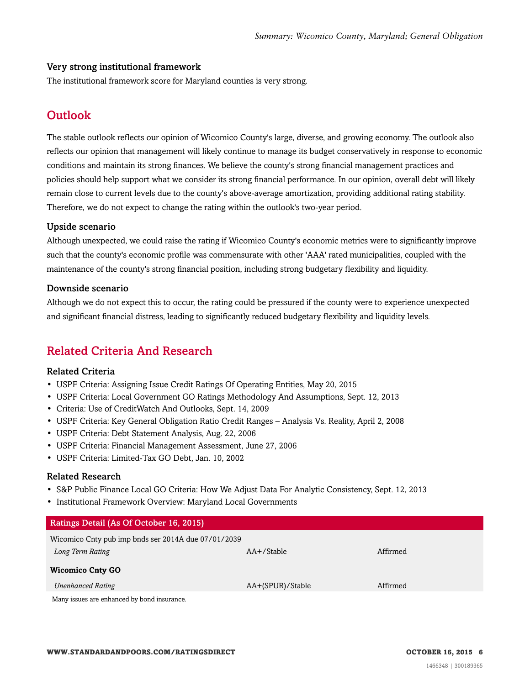#### Very strong institutional framework

<span id="page-5-0"></span>The institutional framework score for Maryland counties is very strong.

# **Outlook**

The stable outlook reflects our opinion of Wicomico County's large, diverse, and growing economy. The outlook also reflects our opinion that management will likely continue to manage its budget conservatively in response to economic conditions and maintain its strong finances. We believe the county's strong financial management practices and policies should help support what we consider its strong financial performance. In our opinion, overall debt will likely remain close to current levels due to the county's above-average amortization, providing additional rating stability. Therefore, we do not expect to change the rating within the outlook's two-year period.

#### Upside scenario

Although unexpected, we could raise the rating if Wicomico County's economic metrics were to significantly improve such that the county's economic profile was commensurate with other 'AAA' rated municipalities, coupled with the maintenance of the county's strong financial position, including strong budgetary flexibility and liquidity.

#### Downside scenario

Although we do not expect this to occur, the rating could be pressured if the county were to experience unexpected and significant financial distress, leading to significantly reduced budgetary flexibility and liquidity levels.

# <span id="page-5-1"></span>Related Criteria And Research

#### Related Criteria

- USPF Criteria: Assigning Issue Credit Ratings Of Operating Entities, May 20, 2015
- USPF Criteria: Local Government GO Ratings Methodology And Assumptions, Sept. 12, 2013
- Criteria: Use of CreditWatch And Outlooks, Sept. 14, 2009
- USPF Criteria: Key General Obligation Ratio Credit Ranges Analysis Vs. Reality, April 2, 2008
- USPF Criteria: Debt Statement Analysis, Aug. 22, 2006
- USPF Criteria: Financial Management Assessment, June 27, 2006
- USPF Criteria: Limited-Tax GO Debt, Jan. 10, 2002

#### Related Research

- S&P Public Finance Local GO Criteria: How We Adjust Data For Analytic Consistency, Sept. 12, 2013
- Institutional Framework Overview: Maryland Local Governments

| Ratings Detail (As Of October 16, 2015)             |                  |          |  |
|-----------------------------------------------------|------------------|----------|--|
| Wicomico Cnty pub imp bnds ser 2014A due 07/01/2039 |                  |          |  |
| Long Term Rating                                    | $AA+$ /Stable    | Affirmed |  |
| <b>Wicomico Cnty GO</b>                             |                  |          |  |
| <b>Unenhanced Rating</b>                            | AA+(SPUR)/Stable | Affirmed |  |
| Many issues are enhanced by bond insurance.         |                  |          |  |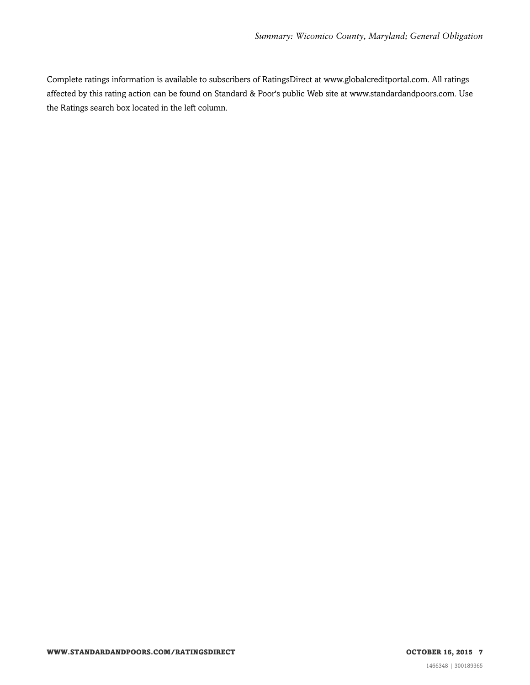Complete ratings information is available to subscribers of RatingsDirect at www.globalcreditportal.com. All ratings affected by this rating action can be found on Standard & Poor's public Web site at www.standardandpoors.com. Use the Ratings search box located in the left column.